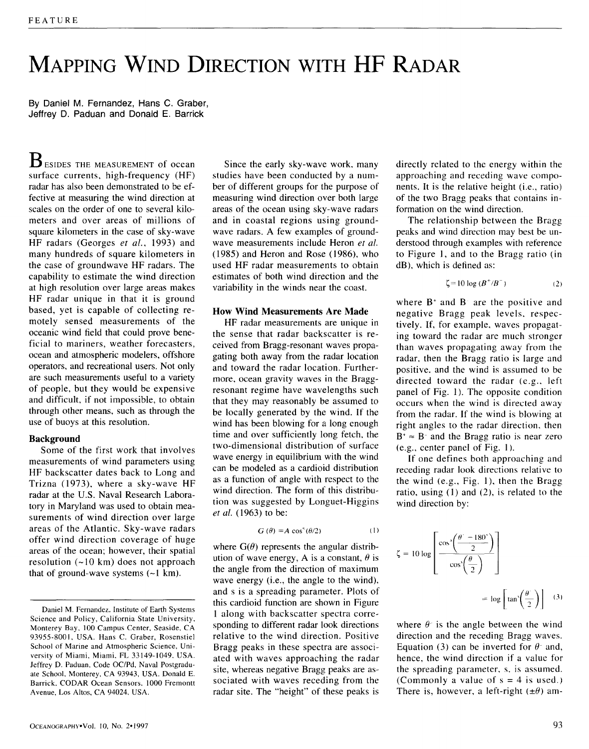# **MAPPING WIND DIRECTION WITH HF RADAR**

By Daniel M. Fernandez, Hans C. **Graber,**  Jeffrey D. Paduan and Donald E. Barrick

 $\mathbf B$  esides the measurement of ocean surface currents, high-frequency (HF) radar has also been demonstrated to be effective at measuring the wind direction at scales on the order of one to several kilometers and over areas of millions of square kilometers in the case of sky-wave HF radars (Georges *et al.,* 1993) and many hundreds of square kilometers in the case of groundwave HF radars. The capability to estimate the wind direction at high resolution over large areas makes HF radar unique in that it is ground based, yet is capable of collecting remotely sensed measurements of the oceanic wind field that could prove beneficial to mariners, weather forecasters, ocean and atmospheric modelers, offshore operators, and recreational users. Not only are such measurements useful to a variety of people, but they would be expensive and difficult, if not impossible, to obtain through other means, such as through the use of buoys at this resolution.

#### **Background**

Some of the first work that involves measurements of wind parameters using HF backscatter dates back to Long and Trizna (1973), where a sky-wave HF radar at the U.S. Naval Research Laboratory in Maryland was used to obtain measurements of wind direction over large areas of the Atlantic. Sky-wave radars offer wind direction coverage of huge areas of the ocean; however, their spatial resolution  $(-10 \text{ km})$  does not approach that of ground-wave systems  $(-1 \text{ km})$ .

Since the early sky-wave work, many studies have been conducted by a number of different groups for the purpose of measuring wind direction over both large areas of the ocean using sky-wave radars and in coastal regions using groundwave radars. A few examples of groundwave measurements include Heron *et al.*  (1985) and Heron and Rose (1986), who used HF radar measurements to obtain estimates of both wind direction and the variability in the winds near the coast.

#### **How Wind Measurements Are Made**

HF radar measurements are unique in the sense that radar backscatter is received from Bragg-resonant waves propagating both away from the radar location and toward the radar location. Furthermore, ocean gravity waves in the Braggresonant regime have wavelengths such that they may reasonably be assumed to be locally generated by the wind. If the wind has been blowing for a long enough time and over sufficiently long fetch, the two-dimensional distribution of surface wave energy in equilibrium with the wind can be modeled as a cardioid distribution as a function of angle with respect to the wind direction. The form of this distribution was suggested by Longuet-Higgins *et al.* (1963) to be:

$$
G(\theta) = A \cos^{s}(\theta/2)
$$
 (1)

where  $G(\theta)$  represents the angular distribution of wave energy, A is a constant,  $\theta$  is the angle from the direction of maximum wave energy (i.e., the angle to the wind), and s is a spreading parameter. Plots of this cardioid function are shown in Figure 1 along with backscatter spectra corresponding to different radar look directions relative to the wind direction. Positive Bragg peaks in these spectra are associated with waves approaching the radar site, whereas negative Bragg peaks are associated with waves receding from the radar site. The "height" of these peaks is

directly related to the energy within the approaching and receding wave components. It is the relative height (i.e., ratio) of the two Bragg peaks that contains information on the wind direction.

The relationship between the Bragg peaks and wind direction may best be understood through examples with reference to Figure 1, and to the Bragg ratio (in dB), which is defined **as:** 

$$
\zeta = 10 \log \left( B^+ / B^- \right) \tag{2}
$$

where  $B^+$  and  $B^-$  are the positive and negative Bragg peak levels, respectively. If, for example, waves propagating toward the radar are much stronger than waves propagating away from the radar, then the Bragg ratio is large and positive, and the wind is assumed to be directed toward the radar (e.g., left panel of Fig. 1). The opposite condition occurs when the wind is directed away from the radar. If the wind is blowing at right angles to the radar direction, then  $B^* \approx B^-$  and the Bragg ratio is near zero (e.g., center panel of Fig. 1 ).

If one defines both approaching and receding radar look directions relative to the wind (e.g., Fig. 1), then the Bragg ratio, using (1) and (2), is related to the wind direction by:

$$
\zeta = 10 \log \left[ \frac{\cos^3 \left( \frac{\theta' - 180^\circ}{2} \right)}{\cos^3 \left( \frac{\theta}{2} \right)} \right]
$$
  
=  $\log \left[ \tan^3 \left( \frac{\theta'}{2} \right) \right]$  (3)

where  $\theta$  is the angle between the wind direction and the receding Bragg waves. Equation (3) can be inverted for  $\theta$  and, hence, the wind direction if a value for the spreading parameter, s, is assumed. (Commonly a value of  $s = 4$  is used.) There is, however, a left-right  $(\pm \theta)$  am-

Daniel M. Fernandez, Institute of Earth Systems Science and Policy, California State University, Monterey Bay, 100 Campus Center, Seaside, CA 93955-8001, USA. Hans C. Graber, Rosenstiel School of Marine and Atmospheric Science, University of Miami, Miami, FL 33149-1049, USA. Jeffrey D. Paduan, Code OC/Pd, Naval Postgraduate School, Monterey, CA 93943, USA. Donald E. Barrick. CODAR Ocean Sensors, 1000 Fremontt Avenue, Los Altos, CA 94024, USA.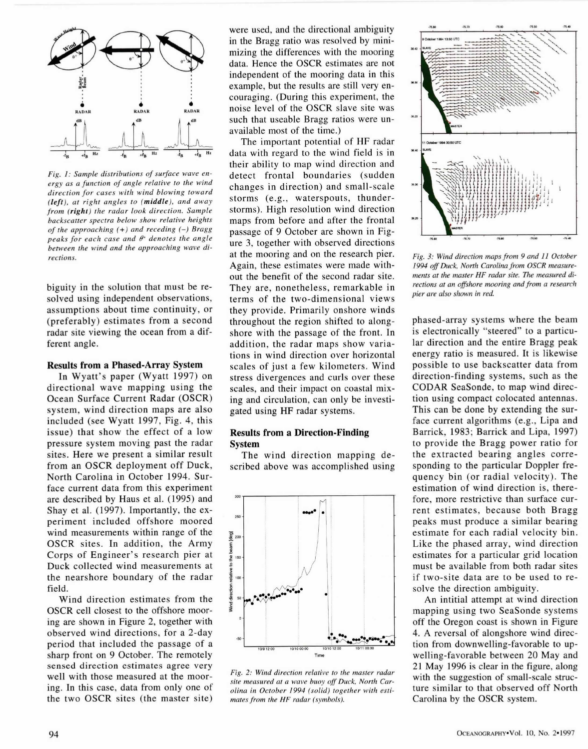

*Fig. 1: Sample distributions of surface wave energy as a function of angle relative to the wind direction for cases with wind blowing toward (left), at right angles to (middle), and away from (right) the radar look direction. Sample backscatter spectra below show relative heights of the approaching (+) and receding (-) Bragg*   $peaks$  for each case and  $\theta^*$  denotes the angle *between the wind and the approaching wave directions.* 

biguity in the solution that must be resolved using independent observations, assumptions about time continuity, or (preferably) estimates from a second radar site viewing the ocean from a different angle.

# **Results from a Phased-Array System**

In Wyatt's paper (Wyatt 1997) on directional wave mapping using the Ocean Surface Current Radar (OSCR) system, wind direction maps are also included (see Wyatt 1997, Fig. 4, this issue) that show the effect of a low pressure system moving past the radar sites. Here we present a similar result from an OSCR deployment off Duck, North Carolina in October 1994. Surface current data from this experiment are described by Haus et al. (1995) and Shay et al. (1997). Importantly, the experiment included offshore moored wind measurements within range of the OSCR sites. In addition, the Army Corps of Engineer's research pier at Duck collected wind measurements at the nearshore boundary of the radar field.

Wind direction estimates from the OSCR cell closest to the offshore mooring are shown in Figure 2, together with observed wind directions, for a 2-day period that included the passage of a sharp front on 9 October. The remotely sensed direction estimates agree very well with those measured at the mooring. In this case, data from only one of the two OSCR sites (the master site)

were used, and the directional ambiguity in the Bragg ratio was resolved by minimizing the differences with the mooring data. Hence the OSCR estimates are not independent of the mooring data in this example, but the results are still very encouraging. (During this experiment, the noise level of the OSCR slave site was such that useable Bragg ratios were unavailable most of the time.)

The important potential of HF radar data with regard to the wind field is in their ability to map wind direction and detect frontal boundaries (sudden changes in direction) and small-scale storms (e.g., waterspouts, thunderstorms). High resolution wind direction maps from before and after the frontal passage of 9 October are shown in Figure 3, together with observed directions at the mooring and on the research pier. Again, these estimates were made without the benefit of the second radar site. They are, nonetheless, remarkable in terms of the two-dimensional views they provide. Primarily onshore winds throughout the region shifted to alongshore with the passage of the front. In addition, the radar maps show variations in wind direction over horizontal scales of just a few kilometers. Wind stress divergences and curls over these scales, and their impact on coastal mixing and circulation, can only be investigated using HF radar systems.

# **Results from a Direction-Finding System**

The wind direction mapping described above was accomplished using



*Fig. 2: Wind direction relative to the master radar site measured at a wave buoy off Duck, North Carolina in October 1994 (solid) together with estimates from the HF radar (symbols).* 



*Fig. 3: Wind direction maps from 9 and 11 October 1994 off Duck, North Carolina from OSCR measurements at the master HF radar site. The measured directions at an offshore mooring and from a research pier are also shown in red.* 

phased-array systems where the beam is electronically "steered" to a particular direction and the entire Bragg peak energy ratio is measured. It is likewise possible to use backscatter data from direction-finding systems, such as the CODAR SeaSonde, to map wind direction using compact colocated antennas. This can be done by extending the surface current algorithms (e.g., Lipa and Barrick, 1983; Barrick and Lipa, 1997) to provide the Bragg power ratio for the extracted bearing angles corresponding to the particular Doppler frequency bin (or radial velocity). The estimation of wind direction is, therefore, more restrictive than surface current estimates, because both Bragg peaks must produce a similar bearing estimate for each radial velocity bin. Like the phased array, wind direction estimates for a particular grid location must be available from both radar sites if two-site data are to be used to resolve the direction ambiguity.

An intitial attempt at wind direction mapping using two SeaSonde systems off the Oregon coast is shown in Figure 4. A reversal of alongshore wind direction from downwelling-favorable to upwelling-favorable between 20 May and 21 May 1996 is clear in the figure, along with the suggestion of small-scale structure similar to that observed off North Carolina by the OSCR system.